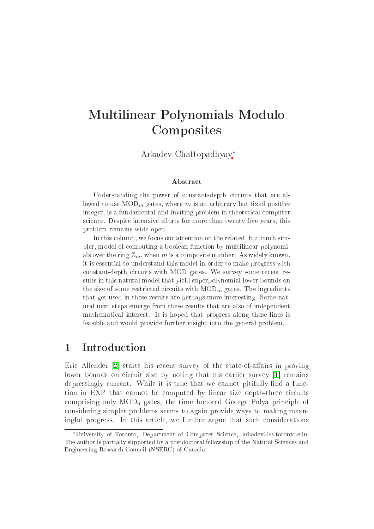# Multilinear Polynomials Modulo **Composites**

Arkadev Chattopadhyay<sup>∗</sup>

#### **Abstract**

Understanding the power of constant-depth circuits that are allowed to use  $\text{MOD}_m$  gates, where m is an arbitrary but fixed positive integer, is a fundamental and inviting problem in theoreti
al omputer science. Despite intensive efforts for more than twenty five years, this problem remains wide open.

In this column, we focus our attention on the related, but much simpler, model of computing a boolean function by multilinear polynomials over the ring  $\mathbb{Z}_m$ , when m is a composite number. As widely known, it is essential to understand this model in order to make progress with constant-depth circuits with MOD gates. We survey some recent results in this natural model that yield superpolynomial lower bounds on the size of some restricted circuits with  $\text{MOD}_m$  gates. The ingredients that get used in these results are perhaps more interesting. Some natural next steps emerge from these results that are also of independent mathemati
al interest. It is hoped that progress along these lines is feasible and would provide further insight into the general problem.

## 1 Introduction

Eric Allender [2] starts his recent survey of the state-of-affairs in proving lower bounds on circuit size by noting that his earlier survey  $[1]$  remains depressingly current. While it is true that we cannot pitifully find a function in EXP that cannot be computed by linear size depth-three circuits comprising only  $MOD_6$  gates, the time honored George Polya principle of onsidering simpler problems seems to again provide ways to making meaningful progress. In this arti
le, we further argue that su
h onsiderations

<sup>∗</sup>University of Toronto, Department of Computer S
ien
e, arkadev
s.toronto.edu. The author is partially supported by <sup>a</sup> postdo
toral fellowship of the Natural S
ien
es and Engineering Resear
h Coun
il (NSERC) of Canada.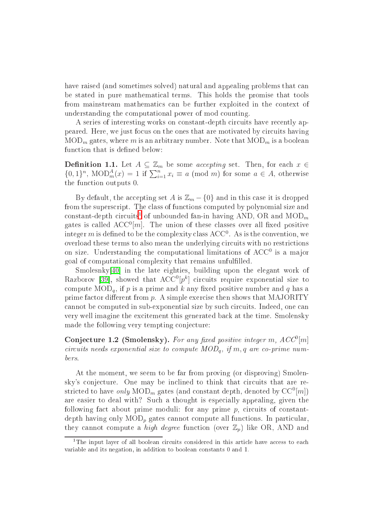have raised (and sometimes solved) natural and appealing problems that can be stated in pure mathemati
al terms. This holds the promise that tools from mainstream mathematics can be further exploited in the context of understanding the omputational power of mod ounting.

A series of interesting works on constant-depth circuits have recently appeared. Here, we just focus on the ones that are motivated by circuits having  $MOD_m$  gates, where m is an arbitrary number. Note that  $MOD_m$  is a boolean function that is defined below:

**Definition 1.1.** Let  $A \subseteq \mathbb{Z}_m$  be some *accepting* set. Then, for each  $x \in$  ${0, 1}^n$ , MOD $^A_m(x) = 1$  if  $\sum_{i=1}^n x_i \equiv a \pmod{m}$  for some  $a \in A$ , otherwise the fun
tion outputs 0.

By default, the accepting set A is  $\mathbb{Z}_m - \{0\}$  and in this case it is dropped from the superscript. The class of functions computed by polynomial size and constant-depth circuits<sup>-</sup> of unbounded fan-in having  $\text{AND}$ , OR and MOD $_m$ gates is called  $\mathrm{ACC}^0[m]$ . The union of these classes over all fixed positive  $\arctan{m}$  is defined to be the complexity class  $\rm ACC^0.$  As is the convention, we overload these terms to also mean the underlying circuits with no restrictions on size. Understanding the computational limitations of  $ACC^{0}$  is a major goal of omputational omplexity that remains unfullled.

 $Smolesnky[40]$  in the late eighties, building upon the elegant work of  $\mathrm{Razborov}$  [39], showed that  $\mathrm{ACC}^{0}[p^k]$  circuits require exponential size to compute  $\text{MOD}_q$ , if p is a prime and k any fixed positive number and q has a prime factor different from  $p$ . A simple exercise then shows that MAJORITY cannot be computed in sub-exponential size by such circuits. Indeed, one can very well imagine the excitement this generated back at the time. Smolensky made the following very tempting conjecture:

Conjecture 1.2 (Smolensky). For any fixed positive integer m,  $ACC^0[m]$ circuits needs exponential size to compute  $MOD_{\alpha}$ , if m, q are co-prime numbers.

At the moment, we seem to be far from proving (or disproving) Smolensky's conjecture. One may be inclined to think that circuits that are restricted to have  $\it only\; {\rm MOD}_m$  gates (and constant depth, denoted by  ${\rm CC}^0[m])$ are easier to deal with? Such a thought is especially appealing, given the following fact about prime moduli: for any prime  $p$ , circuits of constantdepth having only  $MOD_p$  gates cannot compute all functions. In particular, they cannot compute a *high degree* function (over  $\mathbb{Z}_p$ ) like OR, AND and

<span id="page-1-0"></span>I he input layer of all boolean circuits considered in this article have access to each variable and its negation, in addition to boolean onstants <sup>0</sup> and 1.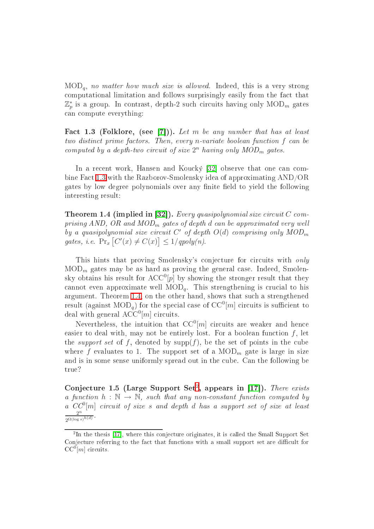$MOD_a$ , no matter how much size is allowed. Indeed, this is a very strong computational limitation and follows surprisingly easily from the fact that  $\mathbb{Z}_p^*$  is a group. In contrast, depth-2 such circuits having only  $\mathrm{MOD}_m$  gates an ompute everything:

<span id="page-2-0"></span>Fact 1.3 (Folklore, (see [7])). Let m be any number that has at least two distinct prime factors. Then, every n-variate boolean function f can be computed by a depth-two circuit of size  $2^n$  having only  $MOD_m$  gates.

In a recent work, Hansen and Koucký [32] observe that one can combine Fa
t [1.3](#page-2-0) with the Razborov-Smolensky idea of approximating AND/OR gates by low degree polynomials over any finite field to yield the following interesting result:

<span id="page-2-1"></span>**Theorem 1.4 (implied in [32]).** Every quasipolynomial size circuit  $C$  comprising AND, OR and  $MOD_m$  gates of depth d can be approximated very well by a quasipolynomial size circuit  $C'$  of depth  $O(d)$  comprising only  $MOD_m$ gates, i.e.  $\Pr_x [C'(x) \neq C(x)] \leq 1/qpoly(n)$ .

This hints that proving Smolensky's conjecture for circuits with only  $MOD_m$  gates may be as hard as proving the general case. Indeed, Smolensky obtains his result for  $\mathrm{ACC}^{0}[p]$  by showing the stronger result that they cannot even approximate well  $\text{MOD}_q$ . This strengthening is crucial to his argument. Theorem [1.4,](#page-2-1) on the other hand, shows that su
h a strengthened result (against  $\mathrm{MOD}_q)$  for the special case of  $\mathrm{CC}^0[m]$  circuits is sufficient to deal with general  $\mathrm{ACC}^0[m]$  circuits.

Nevertheless, the intuition that  $\mathrm{CC}^0[m]$  circuits are weaker and hence easier to deal with, may not be entirely lost. For a boolean function  $f$ , let the *support set* of f, denoted by  $\text{supp}(f)$ , be the set of points in the cube where f evaluates to 1. The support set of a  $\text{MOD}_m$  gate is large in size and is in some sense uniformly spread out in the cube. Can the following be true?

<span id="page-2-3"></span>Conjecture 1.5 (Large Support Set), appears in [17]. There exists a function  $h : \mathbb{N} \to \mathbb{N}$ , such that any non-constant function computed by a  $CC^{0}[m]$  circuit of size s and depth d has a support set of size at least  $2^n$  $2^{\Omega(\log s)^{h(d)}}$ .

<span id="page-2-2"></span>In the thesis  $\mu$ , where this conjecture originates, it is called the Small Support Set Conje
ture referring to the fa
t that fun
tions with <sup>a</sup> small support set are di
ult for  $CC^{0}[m]$  circuits.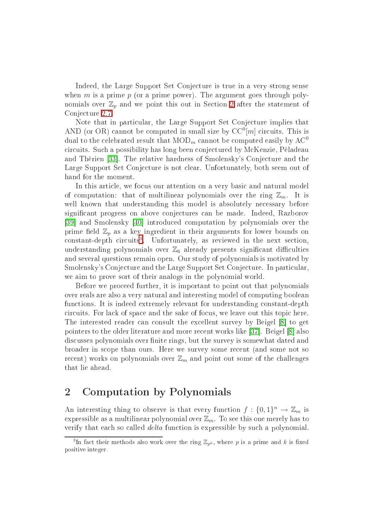Indeed, the Large Support Set Conje
ture is true in a very strong sense when m is a prime  $p$  (or a prime power). The argument goes through polynomials over  $\mathbb{Z}_p$  and we point this out in Section [2](#page-3-0) after the statement of Conjecture [2.7.](#page-6-0)

Note that in particular, the Large Support Set Conjecture implies that AND (or OR) cannot be computed in small size by  $CC^{0}[m]$  circuits. This is dual to the celebrated result that  $\text{MOD}_m$  cannot be computed easily by  $\text{AC}^0$ ir
uits. Su
h a possibility has long been onje
tured by M
Kenzie, Péladeau and Thérien [33]. The relative hardness of Smolensky's Conjecture and the Large Support Set Conjecture is not clear. Unfortunately, both seem out of hand for the moment.

In this article, we focus our attention on a very basic and natural model of computation: that of multilinear polynomials over the ring  $\mathbb{Z}_m$ . It is well known that understanding this model is absolutely necessary before significant progress on above conjectures can be made. Indeed, Razborov [39] and Smolensky [40] introduced computation by polynomials over the prime field  $\mathbb{Z}_n$  as a key ingredient in their arguments for lower bounds on constant-depth circuits . Unfortunately, as reviewed in the next section, understanding polynomials over  $\mathbb{Z}_6$  already presents significant difficulties and several questions remain open. Our study of polynomials is motivated by Smolensky's Conjecture and the Large Support Set Conjecture. In particular, we aim to prove sort of their analogs in the polynomial world.

Before we pro
eed further, it is important to point out that polynomials over reals are also a very natural and interesting model of omputing boolean functions. It is indeed extremely relevant for understanding constant-depth circuits. For lack of space and the sake of focus, we leave out this topic here. The interested reader can consult the excellent survey by Beigel [8] to get pointers to the older literature and more recent works like [37]. Beigel [8] also discusses polynomials over finite rings, but the survey is somewhat dated and broader in s
ope than ours. Here we survey some re
ent (and some not so recent) works on polynomials over  $\mathbb{Z}_m$  and point out some of the challenges that lie ahead.

# <span id="page-3-0"></span><sup>2</sup> Computation by Polynomials

An interesting thing to observe is that every function  $f: \{0,1\}^n \to \mathbb{Z}_m$  is expressible as a multilinear polynomial over  $\mathbb{Z}_m$ . To see this one merely has to verify that each so called *delta* function is expressible by such a polynomial.

<span id="page-3-1"></span><sup>&</sup>lt;sup>3</sup>In fact their methods also work over the ring  $\mathbb{Z}_{p^k}$ , where  $p$  is a prime and  $k$  is fixed positive integer.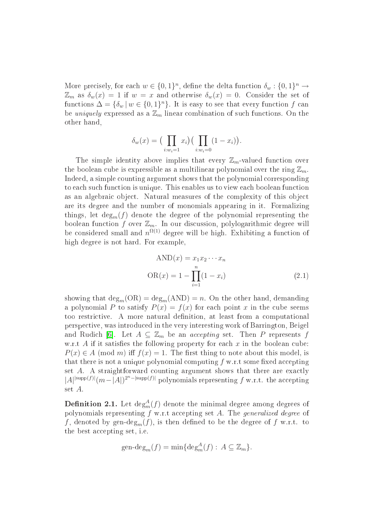More precisely, for each  $w \in \{0,1\}^n$ , define the delta function  $\delta_w : \{0,1\}^n \to$  $\mathbb{Z}_m$  as  $\delta_w(x) = 1$  if  $w = x$  and otherwise  $\delta_w(x) = 0$ . Consider the set of functions  $\Delta = {\delta_w | w \in {0,1}^n}$ . It is easy to see that every function f can be *uniquely* expressed as a  $\mathbb{Z}_m$  linear combination of such functions. On the other hand,

$$
\delta_w(x) = \left(\prod_{i:w_i=1} x_i\right) \left(\prod_{i:w_i=0} (1 - x_i)\right).
$$

The simple identity above implies that every  $\mathbb{Z}_m$ -valued function over the boolean cube is expressible as a multilinear polynomial over the ring  $\mathbb{Z}_m$ . Indeed, a simple counting argument shows that the polynomial corresponding to each such function is unique. This enables us to view each boolean function as an algebraic object. Natural measures of the complexity of this object are its degree and the number of monomials appearing in it. Formalizing things, let  $deg_m(f)$  denote the degree of the polynomial representing the boolean function f over  $\mathbb{Z}_m$ . In our discussion, polylogarithmic degree will be considered small and  $n^{\Omega(1)}$  degree will be high. Exhibiting a function of high degree is not hard. For example,

<span id="page-4-0"></span>
$$
AND(x) = x_1 x_2 \cdots x_n
$$

$$
OR(x) = 1 - \prod_{i=1}^{n} (1 - x_i)
$$
(2.1)

showing that  $\text{deg}_m(\text{OR}) = \text{deg}_m(\text{AND}) = n$ . On the other hand, demanding a polynomial P to satisfy  $P(x) = f(x)$  for each point x in the cube seems too restri
tive. A more natural denition, at least from a omputational perspe
tive, was introdu
ed in the very interesting work of Barrington, Beigel and Rudich [6]. Let  $A \subseteq \mathbb{Z}_m$  be an *accepting* set. Then P represents f w.r.t  $A$  if it satisfies the following property for each  $x$  in the boolean cube:  $P(x) \in A \pmod{m}$  iff  $f(x) = 1$ . The first thing to note about this model, is that there is not a unique polynomial computing  $f$  w.r.t some fixed accepting set A. A straightforward counting argument shows that there are exactly  $|A|^{supp(f)|}(m-|A|)^{2^n-|supp(f)|}$  polynomials representing f w.r.t. the accepting set A.

**Definition 2.1.** Let  $\deg_m^A(f)$  denote the minimal degree among degrees of polynomials representing  $f$  w.r.t accepting set  $A$ . The *generalized degree* of f, denoted by gen-deg<sub>m</sub> $(f)$ , is then defined to be the degree of f w.r.t. to the best accepting set, i.e.

$$
\text{gen-deg}_{m}(f) = \min\{\text{deg}_{m}^{A}(f): A \subseteq \mathbb{Z}_{m}\}.
$$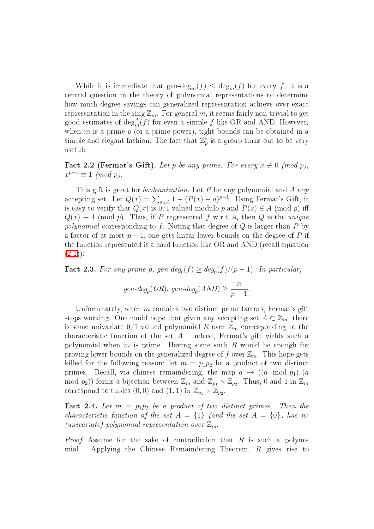While it is immediate that  $\text{gen-deg}_m(f) \leq \text{deg}_m(f)$  for every f, it is a entral question in the theory of polynomial representations to determine how much degree savings can generalized representation achieve over exact representation in the ring  $\mathbb{Z}_m$ . For general m, it seems fairly non-trivial to get good estimates of  $\deg_m^A(f)$  for even a simple f like OR and AND. However, when  $m$  is a prime  $p$  (or a prime power), tight bounds can be obtained in a simple and elegant fashion. The fact that  $\mathbb{Z}_p^*$  is a group turns out to be very useful:

Fact 2.2 (Fermat's Gift). Let p be any prime. For every  $x \not\equiv 0 \pmod{p}$ ,  $x^{p-1} \equiv 1 \pmod{p}.$ 

This gift is great for *booleanization*. Let  $P$  be any polynomial and  $A$  any accepting set. Let  $Q(x) = \sum_{a \in A} 1 - (P(x) - a)^{p-1}$ . Using Fermat's Gift, it is easy to verify that  $Q(x)$  is  $0/1$  valued modulo  $p$  and  $P(x) \in A \pmod{p}$  iff  $Q(x) \equiv 1 \pmod{p}$ . Thus, if P represented f w.r.t A, then Q is the unique polynomial corresponding to f. Noting that degree of  $Q$  is larger than  $P$  by a factor of at most  $p-1$ , one gets linear lower bounds on the degree of P if the function represented is a hard function like OR and AND (recall equation  $(2.1)$ :

**Fact 2.3.** For any prime p,  $gen-deg_p(f) \geq deg_p(f)/(p-1)$ . In particular,

$$
gen\text{-}deg_p(\text{ }OR), \text{ }gen\text{-}deg_p(\text{ }AND) \ge \frac{n}{p-1}.
$$

Unfortunately, when  $m$  contains two distinct prime factors, Fermat's gift stops working. One could hope that given any accepting set  $A \subset \mathbb{Z}_m$ , there is some univariate  $0/1$  valued polynomial R over  $\mathbb{Z}_m$  corresponding to the characteristic function of the set A. Indeed, Fermat's gift yields such a polynomial when  $m$  is prime. Having some such  $R$  would be enough for proving lower bounds on the generalized degree of f over  $\mathbb{Z}_m$ . This hope gets killed for the following reason: let  $m = p_1p_2$  be a product of two distinct primes. Recall, via chinese remaindering, the map  $a \mapsto ((a \mod p_1), (a \in A))$ mod  $p_2$ )) forms a bijection between  $\mathbb{Z}_m$  and  $\mathbb{Z}_{p_1} \times \mathbb{Z}_{p_2}$ . Thus, 0 and 1 in  $\mathbb{Z}_m$ correspond to tuples  $(0,0)$  and  $(1,1)$  in  $\mathbb{Z}_{p_1} \times \mathbb{Z}_{p_2}$ .

<span id="page-5-0"></span>Fact 2.4. Let  $m = p_1 p_2$  be a product of two distinct primes. Then the characteristic function of the set  $A = \{1\}$  (and the set  $A = \{0\}$ ) has no (univariate) polynomial representation over  $\mathbb{Z}_m$ .

*Proof.* Assume for the sake of contradiction that R is such a polynomial. Applying the Chinese Remaindering Theorem, R gives rise to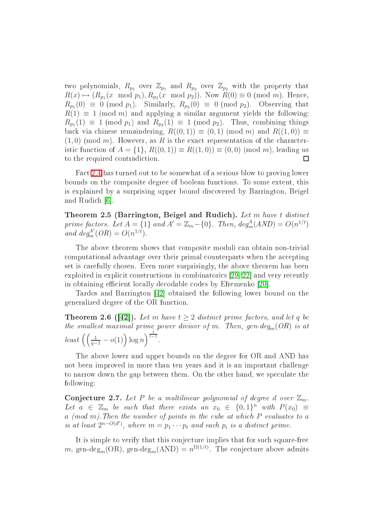two polynomials,  $R_{p_1}$  over  $\mathbb{Z}_{p_1}$  and  $R_{p_2}$  over  $\mathbb{Z}_{p_2}$  with the property that  $R(x) \mapsto (R_{p_1}(x \mod p_1), R_{p_2}(x \mod p_2)).$  Now  $R(0) \equiv 0 \pmod{m}$ . Hence,  $R_{p_1}(0) \equiv 0 \pmod{p_1}$ . Similarly,  $R_{p_2}(0) \equiv 0 \pmod{p_2}$ . Observing that  $R(1) \equiv 1 \pmod{m}$  and applying a similar argument yields the following:  $R_{p_1}(1) \equiv 1 \pmod{p_1}$  and  $R_{p_2}(1) \equiv 1 \pmod{p_2}$ . Thus, combining things back via chinese remaindering,  $R((0,1)) \equiv (0,1) \pmod{m}$  and  $R((1,0)) \equiv$  $(1,0)$  (mod m). However, as R is the exact representation of the characteristic function of  $A = \{1\}$ ,  $R((0,1)) \equiv R((1,0)) \equiv (0,0) \pmod{m}$ , leading us to the required contradiction.  $\Box$ 

Fa
t [2.4](#page-5-0) has turned out to be somewhat of a serious blow to proving lower bounds on the omposite degree of boolean fun
tions. To some extent, this is explained by a surprising upper bound dis
overed by Barrington, Beigel and Rudich [6].

Theorem 2.5 (Barrington, Beigel and Rudich). Let m have t distinct prime factors. Let  $A = \{1\}$  and  $A' = \mathbb{Z}_m - \{0\}$ . Then,  $deg_m^A(AND) = O(n^{1/t})$ and  $deg_m^{A'}(OR) = O(n^{1/t}).$ 

The above theorem shows that composite moduli can obtain non-trivial computational advantage over their primal counterparts when the accepting set is arefully hosen. Even more surprisingly, the above theorem has been exploited in explicit constructions in combinatorics  $[29, 22]$  $[29, 22]$  and very recently in obtaining efficient locally decodable codes by Efremenko [20].

Tardos and Barrington [42] obtained the following lower bound on the generalized degree of the OR fun
tion.

**Theorem 2.6 ([42]).** Let m have  $t \geq 2$  distinct prime factors, and let q be the smallest maximal prime power divisor of m. Then, gen-deg<sub>m</sub>(OR) is at  $least \left( \left( \frac{1}{q-1} - o(1) \right) \log n \right)^{\frac{1}{t-1}}.$ 

The above lower and upper bounds on the degree for OR and AND has not been improved in more than ten years and it is an important hallenge to narrow down the gap between them. On the other hand, we speculate the following:

<span id="page-6-0"></span>Conjecture 2.7. Let P be a multilinear polynomial of degree d over  $\mathbb{Z}_m$ . Let  $a \in \mathbb{Z}_m$  be such that there exists an  $x_0 \in \{0,1\}^n$  with  $P(x_0) \equiv$  $a \pmod{m}$ . Then the number of points in the cube at which  $P$  evaluates to  $a$ is at least  $2^{n-O(d^t)}$ , where  $m = p_1 \cdots p_t$  and each  $p_i$  is a distinct prime.

It is simple to verify that this conjecture implies that for such square-free m, gen-deg<sub>m</sub>(OR), gen-deg<sub>m</sub>(AND) =  $n^{\Omega(1/t)}$ . The conjecture above admits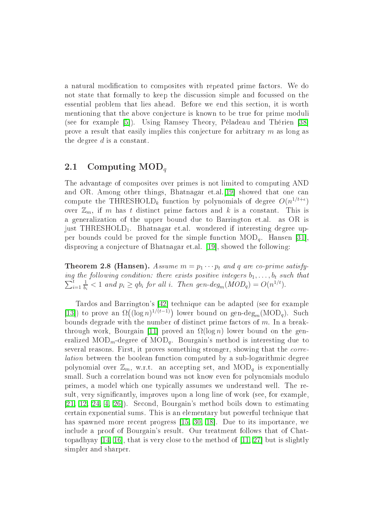a natural modification to composites with repeated prime factors. We do not state that formally to keep the dis
ussion simple and fo
ussed on the essential problem that lies ahead. Before we end this se
tion, it is worth mentioning that the above conjecture is known to be true for prime moduli (see for example [5]). Using Ramsey Theory, Péladeau and Thérien [38] prove a result that easily implies this conjecture for arbitrary  $m$  as long as the degree d is a onstant.

### <span id="page-7-0"></span>2.1 Computing  $\text{MOD}_q$

The advantage of omposites over primes is not limited to omputing AND and OR. Among other things, Bhatnagar et.al.<sup>[19]</sup> showed that one can compute the THRESHOLD<sub>k</sub> function by polynomials of degree  $O(n^{1/t+\epsilon})$ over  $\mathbb{Z}_m$ , if m has t distinct prime factors and k is a constant. This is a generalization of the upper bound due to Barrington et.al. as OR is just THRESHOLD<sub>1</sub>. Bhatnagar et.al. wondered if interesting degree upper bounds could be proved for the simple function  $\text{MOD}_q$ . Hansen [31], disproving a conjecture of Bhatnagar et.al. [19], showed the following:

**Theorem 2.8 (Hansen).** Assume  $m = p_1 \cdots p_t$  and q are co-prime satisfying the following condition: there exists positive integers  $b_1, \ldots, b_t$  such that  $\sum_{i=1}^{t}$  $i=1$ 1  $\frac{1}{b_i}$  < 1 and  $p_i \ge qb_i$  for all i. Then gen-deg<sub>m</sub>(MOD<sub>q</sub>) =  $O(n^{1/t})$ .

Tardos and Barrington's [42] technique can be adapted (see for example [13]) to prove an  $\Omega((\log n)^{1/(t-1)})$  lower bound on gen-deg<sub>m</sub>(MOD<sub>q</sub>). Such bounds degrade with the number of distinct prime factors of  $m$ . In a breakthrough work, Bourgain [11] proved an  $\Omega(\log n)$  lower bound on the generalized  $\text{MOD}_m$ -degree of  $\text{MOD}_q$ . Bourgain's method is interesting due to several reasons. First, it proves something stronger, showing that the *corre*lation between the boolean function computed by a sub-logarithmic degree polynomial over  $\mathbb{Z}_m$ , w.r.t. an accepting set, and  $\text{MOD}_q$  is exponentially small. Such a correlation bound was not know even for polynomials modulo primes, a model whi
h one typi
ally assumes we understand well. The result, very significantly, improves upon a long line of work (see, for example,  $[21, 12, 24, 4, 26]$  $[21, 12, 24, 4, 26]$  $[21, 12, 24, 4, 26]$  $[21, 12, 24, 4, 26]$  $[21, 12, 24, 4, 26]$  $[21, 12, 24, 4, 26]$  $[21, 12, 24, 4, 26]$  $[21, 12, 24, 4, 26]$ . Second, Bourgain's method boils down to estimating ertain exponential sums. This is an elementary but powerful te
hnique that has spawned more recent progress [\[15,](#page-24-9) [30,](#page-25-8) 18]. Due to its importance, we in
lude a proof of Bourgain's result. Our treatment follows that of Chattopadhyay  $[14, 16]$  $[14, 16]$ , that is very close to the method of  $[11, 27]$  $[11, 27]$  but is slightly simpler and sharper.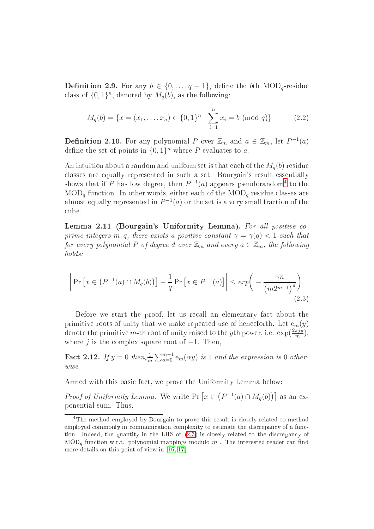**Definition 2.9.** For any  $b \in \{0, \ldots, q-1\}$ , define the bth  $\text{MOD}_q$ -residue class of  $\{0,1\}^n$ , denoted by  $M_q(b)$ , as the following:

$$
M_q(b) = \{x = (x_1, \dots, x_n) \in \{0, 1\}^n \mid \sum_{i=1}^n x_i = b \pmod{q}\}
$$
 (2.2)

**Definition 2.10.** For any polynomial P over  $\mathbb{Z}_m$  and  $a \in \mathbb{Z}_m$ , let  $P^{-1}(a)$ define the set of points in  $\{0,1\}^n$  where P evaluates to a.

An intuition about a random and uniform set is that each of the  $M_q(b)$  residue classes are equally represented in such a set. Bourgain's result essentially shows that if P has low degree, then  $P^{-1}(a)$  appears pseudorandom<sup>[4](#page-8-0)</sup> to the  $\text{MOD}_q$  function. In other words, either each of the  $\text{MOD}_q$  residue classes are almost equally represented in  $P^{-1}(a)$  or the set is a very small fraction of the ube.

<span id="page-8-2"></span>Lemma 2.11 (Bourgain's Uniformity Lemma). For all positive coprime integers m, q, there exists a positive constant  $\gamma = \gamma(q) < 1$  such that for every polynomial P of degree d over  $\mathbb{Z}_m$  and every  $a \in \mathbb{Z}_m$ , the following holds:

<span id="page-8-1"></span>
$$
\left| \Pr\left[x \in \left(P^{-1}(a) \cap M_q(b)\right)\right] - \frac{1}{q} \Pr\left[x \in P^{-1}(a)\right] \right| \le \exp\left(-\frac{\gamma n}{\left(m2^{m-1}\right)^d}\right). \tag{2.3}
$$

Before we start the proof, let us recall an elementary fact about the primitive roots of unity that we make repeated use of henceforth. Let  $e_m(y)$ denote the primitive m-th root of unity raised to the yth power, i.e.  $\exp(\frac{2\pi jy}{m})$  $\frac{\pi jy}{m}$ ), where j is the complex square root of  $-1$ . Then,

<span id="page-8-3"></span>**Fact 2.12.** If  $y = 0$  then,  $\frac{1}{m} \sum_{\alpha=0}^{m-1} e_m(\alpha y)$  is 1 and the expression is 0 otherwise.

Armed with this basi fa
t, we prove the Uniformity Lemma below:

*Proof of Uniformity Lemma.* We write  $Pr\left[x \in (P^{-1}(a) \cap M_q(b))\right]$  as an exponential sum. Thus,

<span id="page-8-0"></span>Ine method employed by Bourgain to prove this result is closely related to method omplexity to estimate the distribution of a function of the distribution of the distribution of the distributio tion. Indeed, the quantity in the mass of [\(2.3\)](#page-8-1) is there, a control to the distribution  $\mathcal{L}_{\mathcal{A}}$  $\text{MOD}_q$  function w.r.t. polynomial mappings modulo m. The interested reader can find more details on this point of view in the point of  $\mathcal{L}$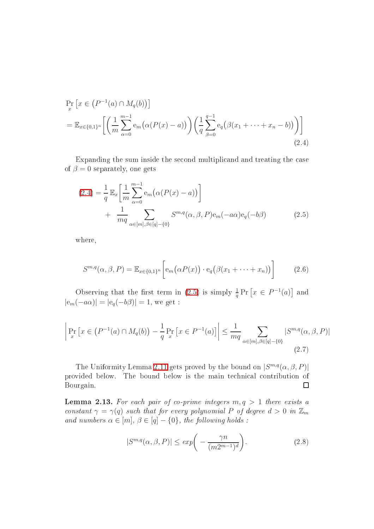$$
\Pr_{x} \left[ x \in (P^{-1}(a) \cap M_q(b)) \right] \n= \mathbb{E}_{x \in \{0,1\}^n} \left[ \left( \frac{1}{m} \sum_{\alpha=0}^{m-1} e_m(\alpha(P(x) - a)) \right) \left( \frac{1}{q} \sum_{\beta=0}^{q-1} e_q(\beta(x_1 + \dots + x_n - b)) \right) \right]
$$
\n(2.4)

Expanding the sum inside the second multiplicand and treating the case of  $\beta = 0$  separately, one gets

<span id="page-9-1"></span><span id="page-9-0"></span>
$$
(2.4) = \frac{1}{q} \mathbb{E}_x \left[ \frac{1}{m} \sum_{\alpha=0}^{m-1} e_m (\alpha (P(x) - a)) \right] + \frac{1}{mq} \sum_{\alpha \in [m], \beta \in [q] - \{0\}} S^{m,q}(\alpha, \beta, P) e_m(-a\alpha) e_q(-b\beta)
$$
(2.5)

where,

$$
S^{m,q}(\alpha,\beta,P) = \mathbb{E}_{x \in \{0,1\}^n} \left[ e_m(\alpha P(x)) \cdot e_q(\beta(x_1 + \dots + x_n)) \right]
$$
(2.6)

Observing that the first term in [\(2.5\)](#page-9-1) is simply  $\frac{1}{q} \Pr \left[ x \in P^{-1}(a) \right]$  and  $|\mathsf{e}_m(-a\alpha)| = |\mathsf{e}_q(-b\beta)| = 1$ , we get :

$$
\left| \Pr_x \left[ x \in (P^{-1}(a) \cap M_q(b)) - \frac{1}{q} \Pr_x \left[ x \in P^{-1}(a) \right] \right| \le \frac{1}{mq} \sum_{\alpha \in [m], \beta \in [q] - \{0\}} |S^{m,q}(\alpha, \beta, P)|
$$
\n(2.7)

The Uniformity Lemma [2.11](#page-8-2) gets proved by the bound on  $|S^{m,q}(\alpha,\beta,P)|$ provided below. The bound below is the main te
hni
al ontribution of Bourgain.  $\Box$ 

<span id="page-9-2"></span>**Lemma 2.13.** For each pair of co-prime integers  $m, q > 1$  there exists a constant  $\gamma = \gamma(q)$  such that for every polynomial P of degree  $d > 0$  in  $\mathbb{Z}_m$ and numbers  $\alpha \in [m], \beta \in [q] - \{0\}$ , the following holds :

<span id="page-9-4"></span><span id="page-9-3"></span>
$$
|S^{m,q}(\alpha,\beta,P)| \le \exp\bigg(-\frac{\gamma n}{(m2^{m-1})^d}\bigg). \tag{2.8}
$$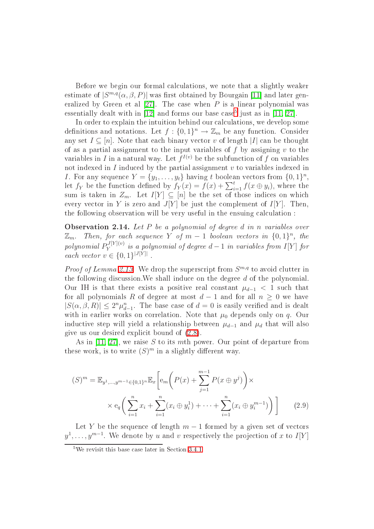Before we begin our formal calculations, we note that a slightly weaker estimate of  $|S^{m,q}(\alpha,\beta,P)|$  was first obtained by Bourgain [11] and later generalized by Green et al  $[27]$ . The case when P is a linear polynomial was essentially dealt with in [12] and forms our base case<sup>-</sup> just as in [\[11,](#page-24-5) 27].

In order to explain the intuition behind our calculations, we develop some definitions and notations. Let  $f: \{0,1\}^n \to \mathbb{Z}_m$  be any function. Consider any set  $I \subseteq [n]$ . Note that each binary vector v of length |I| can be thought of as a partial assignment to the input variables of  $f$  by assigning  $v$  to the variables in I in a natural way. Let  $f^{I(v)}$  be the subfunction of f on variables not indexed in  $I$  induced by the partial assignment  $v$  to variables indexed in *I*. For any sequence  $Y = \{y_1, \ldots, y_t\}$  having t boolean vectors from  $\{0, 1\}^n$ , let  $f_Y$  be the function defined by  $f_Y(x) = f(x) + \sum_{i=1}^t f(x \oplus y_i)$ , where the sum is taken in  $Z_m$ . Let  $I[Y] \subseteq [n]$  be the set of those indices on which every vector in Y is zero and  $J[Y]$  be just the complement of  $I[Y]$ . Then, the following observation will be very useful in the ensuing calculation :

<span id="page-10-2"></span>Observation 2.14. Let P be a polynomial of degree d in n variables over  $\mathbb{Z}_m$ . Then, for each sequence Y of  $m-1$  boolean vectors in  $\{0,1\}^n$ , the polynomial  $P^{J[Y](v)}_{Y}$  $\sum_{Y}^{J\{I\}(v)}$  is a polynomial of degree  $d-1$  in variables from  $I[Y]$  for each vector  $v \in \{0,1\}^{|J[Y]|}$ .

*Proof of Lemma [2.13.](#page-9-2)* We drop the superscript from  $S^{m,q}$  to avoid clutter in the following discussion. We shall induce on the degree d of the polynomial. Our IH is that there exists a positive real constant  $\mu_{d-1} < 1$  such that for all polynomials R of degree at most  $d-1$  and for all  $n \geq 0$  we have  $|S(\alpha, \beta, R)| \leq 2^n \mu_{d-1}^n$ . The base case of  $d = 0$  is easily verified and is dealt with in earlier works on correlation. Note that  $\mu_0$  depends only on q. Our inductive step will yield a relationship between  $\mu_{d-1}$  and  $\mu_d$  that will also give us our desired expli
it bound of [\(2.8\)](#page-9-3).

As in  $[11, 27]$  $[11, 27]$ , we raise S to its mth power. Our point of departure from these work, is to write  $(S)^m$  in a slightly different way.

<span id="page-10-1"></span>
$$
(S)^{m} = \mathbb{E}_{y^{1}, \dots, y^{m-1} \in \{0, 1\}^{n}} \mathbb{E}_{x} \left[ e_{m} \left( P(x) + \sum_{j=1}^{m-1} P(x \oplus y^{j}) \right) \times \times e_{q} \left( \sum_{i=1}^{n} x_{i} + \sum_{i=1}^{n} (x_{i} \oplus y_{i}^{1}) + \dots + \sum_{i=1}^{n} (x_{i} \oplus y_{i}^{m-1}) \right) \right]
$$
(2.9)

Let Y be the sequence of length  $m-1$  formed by a given set of vectors  $y^1,\ldots,y^{m-1}.$  We denote by  $u$  and  $v$  respectively the projection of  $x$  to  $I[Y]$ 

<span id="page-10-0"></span>we revisit this base case fater in Section 5.4.1.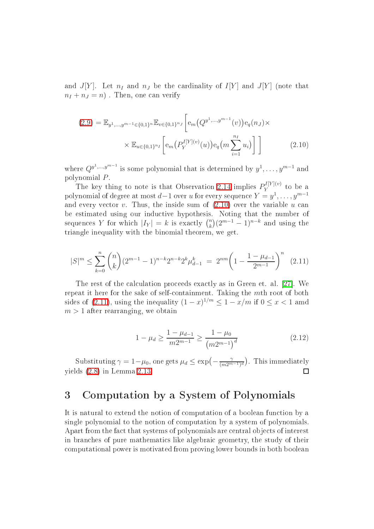and  $J[Y]$ . Let  $n_I$  and  $n_J$  be the cardinality of  $I[Y]$  and  $J[Y]$  (note that  $n_I + n_J = n$ . Then, one can verify

<span id="page-11-0"></span>
$$
(2.9) = \mathbb{E}_{y^1,\dots,y^{m-1}\in\{0,1\}^n} \mathbb{E}_{v\in\{0,1\}^{n_J}} \left[ e_m(Q^{y^1,\dots,y^{m-1}}(v)) e_q(n_J) \times \times \mathbb{E}_{u\in\{0,1\}^{n_I}} \left[ e_m(P_Y^{I[Y](v)}(u)) e_q(m \sum_{i=1}^{n_I} u_i) \right] \right]
$$
(2.10)

where  $Q^{y^1,\dots,y^{m-1}}$  is some polynomial that is determined by  $y^1,\dots,y^{m-1}$  and polynomial P.

The key thing to note is that Observation [2.14](#page-10-2) implies  $P_Y^{I[Y](v)}$  $Y = \n\begin{bmatrix}\n0 & \text{or} & a\n\end{bmatrix}$ polynomial of degree at most  $d-1$  over  $u$  for every sequence  $Y=y^1,\ldots,y^{m-1}$ and every vector v. Thus, the inside sum of  $(2.10)$  over the variable u can be estimated using our inductive hypothesis. Noting that the number of sequences Y for which  $|I_Y| = k$  is exactly  $\binom{n}{k}$  $\binom{n}{k} (2^{m-1} - 1)^{n-k}$  and using the triangle inequality with the binomial theorem, we get.

$$
|S|^m \le \sum_{k=0}^n \binom{n}{k} (2^{m-1} - 1)^{n-k} 2^{n-k} 2^k \mu_{d-1}^k = 2^{nm} \left( 1 - \frac{1 - \mu_{d-1}}{2^{m-1}} \right)^n \tag{2.11}
$$

The rest of the calculation proceeds exactly as in Green et. al. [27]. We repeat it here for the sake of self-containment. Taking the mth root of both sides of [\(2.11\)](#page-11-1), using the inequality  $(1-x)^{1/m} \leq 1-x/m$  if  $0 \leq x < 1$  amd  $m > 1$  after rearranging, we obtain

<span id="page-11-1"></span>
$$
1 - \mu_d \ge \frac{1 - \mu_{d-1}}{m2^{m-1}} \ge \frac{1 - \mu_0}{\left(m2^{m-1}\right)^d} \tag{2.12}
$$

Substituting  $\gamma = 1 - \mu_0$ , one gets  $\mu_d \le \exp\left(-\frac{\gamma}{(m2^{m-1})^d}\right)$ . This immediately yields [\(2.8\)](#page-9-3) in Lemma [2.13.](#page-9-2)  $\Box$ 

#### <sup>3</sup> Computation by <sup>a</sup> System of Polynomials 3

It is natural to extend the notion of computation of a boolean function by a single polynomial to the notion of computation by a system of polynomials. Apart from the fact that systems of polynomials are central objects of interest in bran
hes of pure mathemati
s like algebrai geometry, the study of their omputational power is motivated from proving lower bounds in both boolean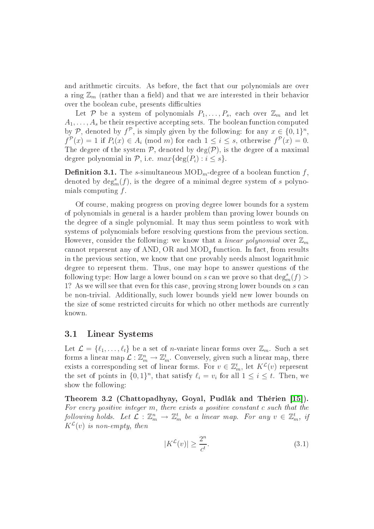and arithmetic circuits. As before, the fact that our polynomials are over a ring  $\mathbb{Z}_m$  (rather than a field) and that we are interested in their behavior over the boolean cube, presents difficulties

Let P be a system of polynomials  $P_1, \ldots, P_s$ , each over  $\mathbb{Z}_m$  and let  $A_1, \ldots, A_s$  be their respective accepting sets. The boolean function computed by P, denoted by  $f^{\mathcal{P}}$ , is simply given by the following: for any  $x \in \{0,1\}^n$ ,  $f^{\mathcal{P}}(x) = 1$  if  $P_i(x) \in A_i \pmod{m}$  for each  $1 \leq i \leq s$ , otherwise  $f^{\mathcal{P}}(x) = 0$ . The degree of the system  $P$ , denoted by deg( $P$ ), is the degree of a maximal degree polynomial in  $P$ , i.e.  $max{\{deg(P_i) : i \leq s\}}$ .

**Definition 3.1.** The *s*-simultaneous  $\text{MOD}_m$ -degree of a boolean function  $f$ , denoted by  $\deg_m^s(f)$ , is the degree of a minimal degree system of s polynomials computing  $f$ .

Of ourse, making progress on proving degree lower bounds for a system of polynomials in general is a harder problem than proving lower bounds on the degree of a single polynomial. It may thus seem pointless to work with systems of polynomials before resolving questions from the previous section. However, consider the following: we know that a *linear polynomial* over  $\mathbb{Z}_m$ cannot represent any of AND, OR and  $\text{MOD}_q$  function. In fact, from results in the previous se
tion, we know that one provably needs almost logarithmi degree to represent them. Thus, one may hope to answer questions of the following type: How large a lower bound on s can we prove so that  $\deg_m^s(f)$  > 1? As we will see that even for this case, proving strong lower bounds on s can be non-trivial. Additionally, su
h lower bounds yield new lower bounds on the size of some restri
ted ir
uits for whi
h no other methods are urrently known.

#### 3.1 Linear Systems

Let  $\mathcal{L} = \{\ell_1, \ldots, \ell_t\}$  be a set of *n*-variate linear forms over  $\mathbb{Z}_m$ . Such a set forms a linear map  $\mathcal{L} : \mathbb{Z}_m^n \to \mathbb{Z}_m^t$ . Conversely, given such a linear map, there exists a corresponding set of linear forms. For  $v \in \mathbb{Z}_m^t$ , let  $K^{\mathcal{L}}(v)$  represent the set of points in  $\{0,1\}^n$ , that satisfy  $\ell_i = v_i$  for all  $1 \leq i \leq t$ . Then, we show the following:

<span id="page-12-0"></span>Theorem 3.2 (Chattopadhyay, Goyal, Pudlák and Thérien [15]). For every positive integer  $m$ , there exists a positive constant  $c$  such that the following holds. Let  $\mathcal{L}: \mathbb{Z}_m^n \to \mathbb{Z}_m^t$  be a linear map. For any  $v \in \mathbb{Z}_m^t$ , if  $K^{\mathcal{L}}(v)$  is non-empty, then

<span id="page-12-1"></span>
$$
|K^{\mathcal{L}}(v)| \ge \frac{2^n}{c^t}.\tag{3.1}
$$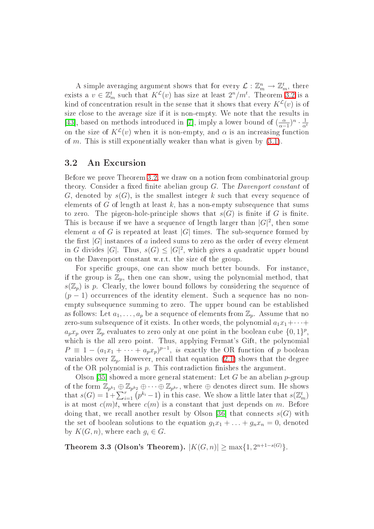A simple averaging argument shows that for every  $\mathcal{L}: \mathbb{Z}_m^n \to \mathbb{Z}_m^t$ , there exists a  $v \in \mathbb{Z}_m^t$  such that  $K^{\mathcal{L}}(v)$  has size at least  $2^n/m^t$ . Theorem [3.2](#page-12-0) is a kind of concentration result in the sense that it shows that every  $K^{\mathcal{L}}(v)$  is of size close to the average size if it is non-empty. We note that the results in [43], based on methods introduced in [7], imply a lower bound of  $\left(\frac{\alpha}{\alpha-1}\right)$  $\frac{\alpha}{\alpha-1}$ <sup>n</sup> ·  $\frac{1}{\alpha^t}$ on the size of  $K^{\mathcal{L}}(v)$  when it is non-empty, and  $\alpha$  is an increasing function of m. This is still exponentially weaker than what is given by  $(3.1)$ .

#### 3.2 An Ex
ursion

Before we prove Theorem [3.2,](#page-12-0) we draw on a notion from combinatorial group theory. Consider a fixed finite abelian group  $G$ . The *Davenport constant* of G, denoted by  $s(G)$ , is the smallest integer k such that every sequence of elements of  $G$  of length at least  $k$ , has a non-empty subsequence that sums to zero. The pigeon-hole-principle shows that  $s(G)$  is finite if G is finite. This is because if we have a sequence of length larger than  $|G|^2$ , then some element a of G is repeated at least |G| times. The sub-sequence formed by the first  $|G|$  instances of a indeed sums to zero as the order of every element in G divides |G|. Thus,  $s(G) \leq |G|^2$ , which gives a quadratic upper bound on the Davenport onstant w.r.t. the size of the group.

For specific groups, one can show much better bounds. For instance, if the group is  $\mathbb{Z}_p$ , then one can show, using the polynomial method, that  $s(\mathbb{Z}_n)$  is p. Clearly, the lower bound follows by considering the sequence of  $(p-1)$  occurrences of the identity element. Such a sequence has no nonempty subsequence summing to zero. The upper bound can be established as follows: Let  $a_1, \ldots, a_p$  be a sequence of elements from  $\mathbb{Z}_p$ . Assume that no zero-sum subsequence of it exists. In other words, the polynomial  $a_1x_1+\cdots+a_n$  $a_p x_p$  over  $\mathbb{Z}_p$  evaluates to zero only at one point in the boolean cube  $\{0,1\}^p,$ which is the all zero point. Thus, applying Fermat's Gift, the polynomial  $P \equiv 1 - (a_1x_1 + \cdots + a_px_p)^{p-1}$ , is exactly the OR function of p boolean variables over  $\mathbb{Z}_p$ . However, recall that equation [\(2.1\)](#page-4-0) shows that the degree of the OR polynomial is  $p$ . This contradiction finishes the argument.

Olson [35] showed a more general statement: Let G be an abelian  $p$ -group of the form  $\Z_{p^{k_1}} \oplus \Z_{p^{k_2}} \oplus \cdots \oplus \Z_{p^{k_r}}$ , where  $\oplus$  denotes direct sum. He shows that  $s(G) = 1 + \sum_{i=1}^{r} (p^{k_i} - 1)$  in this case. We show a little later that  $s(\mathbb{Z}_m^t)$ is at most  $c(m)t$ , where  $c(m)$  is a constant that just depends on m. Before doing that, we recall another result by Olson [36] that connects  $s(G)$  with the set of boolean solutions to the equation  $g_1x_1 + \ldots + g_nx_n = 0$ , denoted by  $K(G, n)$ , where each  $g_i \in G$ .

Theorem 3.3 (Olson's Theorem).  $|K(G,n)| \ge \max\{1, 2^{n+1-s(G)}\}.$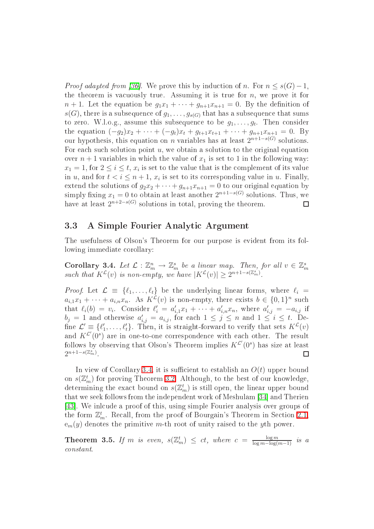*Proof adapted from [36]*. We prove this by induction of n. For  $n \leq s(G)-1$ , the theorem is vacuously true. Assuming it is true for  $n$ , we prove it for  $n+1$ . Let the equation be  $g_1x_1 + \cdots + g_{n+1}x_{n+1} = 0$ . By the definition of  $s(G)$ , there is a subsequence of  $g_1, \ldots, g_{s(G)}$  that has a subsequence that sums to zero. W.l.o.g., assume this subsequence to be  $g_1, \ldots, g_t$ . Then consider the equation  $(-g_2)x_2 + \cdots + (-g_t)x_t + g_{t+1}x_{t+1} + \cdots + g_{n+1}x_{n+1} = 0$ . By our hypothesis, this equation on n variables has at least  $2^{n+1-s(G)}$  solutions. For each such solution point  $u$ , we obtain a solution to the original equation over  $n+1$  variables in which the value of  $x_1$  is set to 1 in the following way:  $x_1 = 1$ , for  $2 \le i \le t$ ,  $x_i$  is set to the value that is the complement of its value in u, and for  $t < i \leq n+1$ ,  $x_i$  is set to its corresponding value in u. Finally, extend the solutions of  $g_2x_2 + \cdots + g_{n+1}x_{n+1} = 0$  to our original equation by simply fixing  $x_1 = 0$  to obtain at least another  $2^{n+1-s(G)}$  solutions. Thus, we have at least  $2^{n+2-s(G)}$  solutions in total, proving the theorem.  $\Box$ 

#### 3.3 A Simple Fourier Analyti Argument

<span id="page-14-0"></span>The usefulness of Olson's Theorem for our purpose is evident from its following immediate orollary:

Corollary 3.4. Let  $\mathcal{L}: \mathbb{Z}_m^n \to \mathbb{Z}_m^s$  be a linear map. Then, for all  $v \in \mathbb{Z}_m^s$ such that  $K^{\mathcal{L}}(v)$  is non-empty, we have  $|K^{\mathcal{L}}(v)| \geq 2^{n+1-s(\mathbb{Z}_m^s)}$ .

*Proof.* Let  $\mathcal{L} = \{\ell_1, \ldots, \ell_t\}$  be the underlying linear forms, where  $\ell_i =$  $a_{i,1}x_1 + \cdots + a_{i,n}x_n$ . As  $K^{\mathcal{L}}(v)$  is non-empty, there exists  $b \in \{0,1\}^n$  such that  $\ell_i(b) = v_i$ . Consider  $\ell'_i = a'_{i,1}x_1 + \cdots + a'_{i,n}x_n$ , where  $a'_{i,j} = -a_{i,j}$  if  $b_j = 1$  and otherwise  $a'_{i,j} = a_{i,j}$ , for each  $1 \leq j \leq n$  and  $1 \leq i \leq t$ . Define  $\mathcal{L}' \equiv \{\ell'_1, \ldots, \ell'_t\}$ . Then, it is straight-forward to verify that sets  $K^{\mathcal{L}}(v)$ and  $K^{\mathcal{L}'}(0^s)$  are in one-to-one correspondence with each other. The result follows by observing that Olson's Theorem implies  $K^{\mathcal{L}'}(0^s)$  has size at least  $2^{n+1-s(\mathbb{Z}_m^s)}$ .  $\Box$ 

In view of Corollary [3.4,](#page-14-0) it is sufficient to establish an  $O(t)$  upper bound on  $s(\mathbb{Z}_m^t)$  for proving Theorem [3.2.](#page-12-0) Although, to the best of our knowledge, determining the exact bound on  $s(\mathbb{Z}_m^t)$  is still open, the linear upper bound that we seek follows from the independent work of Meshulam [34] and Therien [43]. We inlcude a proof of this, using simple Fourier analysis over groups of the form  $\mathbb{Z}_m^t$ . Recall, from the proof of Bourgain's Theorem in Section [2.1,](#page-7-0)  $e_m(y)$  denotes the primitive m-th root of unity raised to the yth power.

<span id="page-14-1"></span>**Theorem 3.5.** If m is even,  $s(\mathbb{Z}_m^t) \le ct$ , where  $c = \frac{\log m}{\log m - \log(n)}$  $\log m - \log(m-1)$  <sup>*to*</sup> a onstant.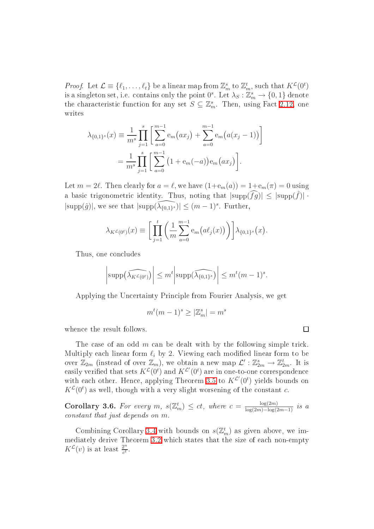*Proof.* Let  $\mathcal{L} \equiv \{\ell_1, \ldots, \ell_t\}$  be a linear map from  $\mathbb{Z}_m^s$  to  $\mathbb{Z}_m^t$ , such that  $K^{\mathcal{L}}(0^t)$ is a singleton set, i.e. contains only the point  $0^s$ . Let  $\lambda_S: \mathbb{Z}_m^s \to \{0,1\}$  denote the characteristic function for any set  $S \subseteq \mathbb{Z}_m^s$ . Then, using Fact [2.12,](#page-8-3) one writes

$$
\lambda_{\{0,1\}^s}(x) \equiv \frac{1}{m^s} \prod_{j=1}^s \left[ \sum_{a=0}^{m-1} e_m(ax_j) + \sum_{a=0}^{m-1} e_m(a(x_j-1)) \right]
$$

$$
= \frac{1}{m^s} \prod_{j=1}^s \left[ \sum_{a=0}^{m-1} \left( 1 + e_m(-a) \right) e_m(ax_j) \right].
$$

Let  $m = 2\ell$ . Then clearly for  $a = \ell$ , we have  $(1 + e_m(a)) = 1 + e_m(\pi) = 0$  using a basic trigonometric identity. Thus, noting that  $|\text{supp}(\widehat{fg})| \leq |\text{supp}(\widehat{f})|$ .  $|\text{supp}(\hat{g})|$ , we see that  $|\text{supp}(\widehat{\lambda_{\{0,1\}^s}})| \leq (m-1)^s$ . Further,

$$
\lambda_{K^{\mathcal{L}}(0^{t})}(x) \equiv \left[ \prod_{j=1}^{t} \left( \frac{1}{m} \sum_{a=0}^{m-1} e_{m}(a \ell_{j}(x)) \right) \right] \lambda_{\{0,1\}^{s}}(x).
$$

Thus, one concludes

$$
\left|\text{supp}\left(\widehat{\lambda_{K}c_{(0^t)}}\right)\right| \leq m^t \left|\text{supp}\left(\widehat{\lambda_{\{0,1\}^s}}\right)\right| \leq m^t(m-1)^s.
$$

Applying the Uncertainty Principle from Fourier Analysis, we get

$$
m^t(m-1)^s \ge |\mathbb{Z}_m^s| = m^s
$$

when
e the result follows.

The case of an odd  $m$  can be dealt with by the following simple trick. Multiply each linear form  $\ell_i$  by 2. Viewing each modified linear form to be over  $\mathbb{Z}_{2m}$  (instead of over  $\mathbb{Z}_m$ ), we obtain a new map  $\mathcal{L}' : \mathbb{Z}_{2m}^s \to \mathbb{Z}_{2m}^t$ . It is easily verified that sets  $K^{\mathcal{L}}(0^t)$  and  $K^{\mathcal{L}'}(0^t)$  are in one-to-one correspondence with each other. Hence, applying Theorem [3.5](#page-14-1) to  $K^{\mathcal{L}'}(0^t)$  yields bounds on  $K^{\mathcal{L}}(0^t)$  as well, though with a very slight worsening of the constant c.

**Corollary 3.6.** For every m,  $s(\mathbb{Z}_{m}^{t}) \leq ct$ , where  $c = \frac{\log(2m)}{\log(2m) - \log(2m)}$  $log(2m)-log(2m-1)$  is a onstant that just depends on m.

Combining Corollary [3.4](#page-14-0) with bounds on  $s(\mathbb{Z}_m^t)$  as given above, we im-mediately derive Theorem [3.2](#page-12-0) which states that the size of each non-empty  $K^{\mathcal{L}}(v)$  is at least  $\frac{2^n}{c^t}$  $\overline{c^t}$  .

 $\Box$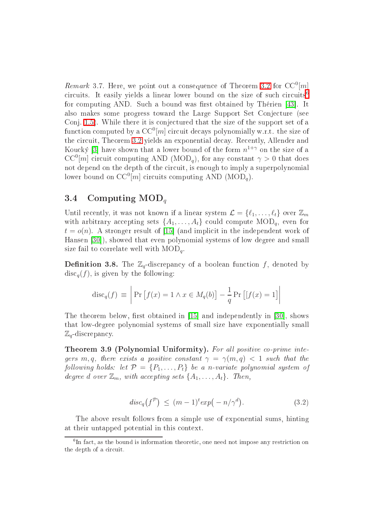Remark 3.7. Here, we point out a consequence of Theorem [3.2](#page-12-0) for  $CC^{0}[m]$  $CC^{0}[m]$ circuits. It easily yields a linear lower bound on the size of such circuits<sup>6</sup> for computing AND. Such a bound was first obtained by Thérien [43]. It also makes some progress toward the Large Support Set Conje
ture (see Conj. [1.5\)](#page-2-3). While there it is conjectured that the size of the support set of a function computed by a  $\mathrm{CC}^0[m]$  circuit decays polynomially w.r.t. the size of the circuit, Theorem [3.2](#page-12-0) yields an exponential decay. Recently, Allender and Koucký [3] have shown that a lower bound of the form  $n^{1+\gamma}$  on the size of a  $CC^{0}[m]$  circuit computing AND (MOD<sub>q</sub>), for any constant  $\gamma > 0$  that does not depend on the depth of the circuit, is enough to imply a superpolynomial lower bound on  $CC^0[m]$  circuits computing AND (MOD<sub>q</sub>).

#### 3.4 Computing  $\text{MOD}_q$

Until recently, it was not known if a linear system  $\mathcal{L} = \{\ell_1, \ldots, \ell_t\}$  over  $\mathbb{Z}_m$ with arbitrary accepting sets  $\{A_1, \ldots, A_t\}$  could compute  $\text{MOD}_q$ , even for  $t = o(n)$ . A stronger result of [15] (and implicit in the independent work of Hansen [30]), showed that even polynomial systems of low degree and small size fail to correlate well with  $\text{MOD}_q$ .

**Definition 3.8.** The  $\mathbb{Z}_q$ -discrepancy of a boolean function f, denoted by  $\text{disc}_q(f)$ , is given by the following:

$$
\operatorname{disc}_q(f) \equiv \left| \Pr \left[ f(x) = 1 \land x \in M_q(b) \right] - \frac{1}{q} \Pr \left[ \left[ f(x) = 1 \right] \right| \right|
$$

The theorem below, first obtained in  $[15]$  and independently in  $[30]$ , shows that low-degree polynomial systems of small size have exponentially small  $\mathbb{Z}_q$ -discrepancy.

<span id="page-16-1"></span>**Theorem 3.9 (Polynomial Uniformity).** For all positive co-prime integers m, q, there exists a positive constant  $\gamma = \gamma(m, q) < 1$  such that the following holds: let  $\mathcal{P} = \{P_1, \ldots, P_t\}$  be a n-variate polynomial system of degree d over  $\mathbb{Z}_m$ , with accepting sets  $\{A_1, \ldots, A_t\}$ . Then,

$$
disc_q(f^{\mathcal{P}}) \le (m-1)^t exp(-n/\gamma^d). \tag{3.2}
$$

The above result follows from a simple use of exponential sums, hinting at their untapped potential in this ontext.

<span id="page-16-0"></span><sup>6</sup> In fa
t, as the bound is information theoreti
, one need not impose any restri
tion on it a complete contract of a complete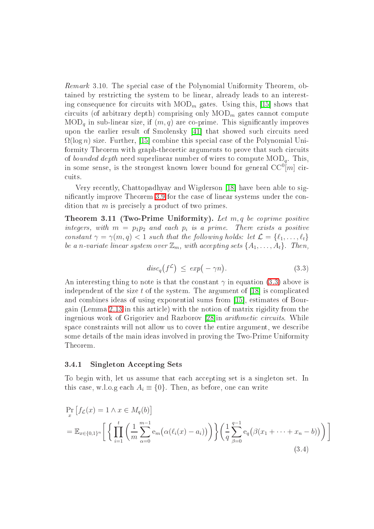Remark 3.10. The special case of the Polynomial Uniformity Theorem, obtained by restricting the system to be linear, already leads to an interesting consequence for circuits with  $\text{MOD}_m$  gates. Using this, [15] shows that circuits (of arbitrary depth) comprising only  $\text{MOD}_m$  gates cannot compute  $\text{MOD}_q$  in sub-linear size, if  $(m, q)$  are co-prime. This significantly improves upon the earlier result of Smolensky [41] that showed such circuits need  $\Omega(\log n)$  size. Further, [15] combine this special case of the Polynomial Uniformity Theorem with graph-theoretic arguments to prove that such circuits of bounded depth need superlinear number of wires to compute  $\text{MOD}_q$ . This, in some sense, is the strongest known lower bound for general  $\mathrm{CC}^0[m]$  circuits.

Very recently, Chattopadhyay and Wigderson [18] have been able to sig-nificantly improve Theorem [3.9](#page-16-1) for the case of linear systems under the condition that  $m$  is precisely a product of two primes.

**Theorem 3.11 (Two-Prime Uniformity).** Let  $m, q$  be coprime positive integers, with  $m = p_1p_2$  and each  $p_i$  is a prime. There exists a positive constant  $\gamma = \gamma(m, q) < 1$  such that the following holds: let  $\mathcal{L} = \{\ell_1, \ldots, \ell_t\}$ be a n-variate linear system over  $\mathbb{Z}_m$ , with accepting sets  $\{A_1, \ldots, A_t\}$ . Then,

<span id="page-17-1"></span>
$$
disc_q(f^{\mathcal{L}}) \leq exp(-\gamma n). \tag{3.3}
$$

An interesting thing to note is that the constant  $\gamma$  in equation [\(3.3\)](#page-17-1) above is independent of the size  $t$  of the system. The argument of [18] is complicated and combines ideas of using exponential sums from [15], estimates of Bourgain (Lemma [2.13](#page-9-2) in this arti
le) with the notion of matrix rigidity from the ingenious work of Grigoriev and Razborov [28] in *arithmetic circuits*. While space constraints will not allow us to cover the entire argument, we describe some details of the main ideas involved in proving the Two-Prime Uniformity Theorem.

#### <span id="page-17-0"></span>3.4.1 Singleton Accepting Sets

To begin with, let us assume that each accepting set is a singleton set. In this case, w.l.o.g each  $A_i \equiv \{0\}$ . Then, as before, one can write

$$
\Pr_{x} \left[ f_{\mathcal{L}}(x) = 1 \land x \in M_q(b) \right]
$$
\n
$$
= \mathbb{E}_{x \in \{0,1\}^n} \left[ \left\{ \prod_{i=1}^{t} \left( \frac{1}{m} \sum_{\alpha=0}^{m-1} e_m \big( \alpha(\ell_i(x) - a_i) \big) \right) \right\} \left( \frac{1}{q} \sum_{\beta=0}^{q-1} e_q \big( \beta(x_1 + \dots + x_n - b) \big) \right) \right]
$$
\n(3.4)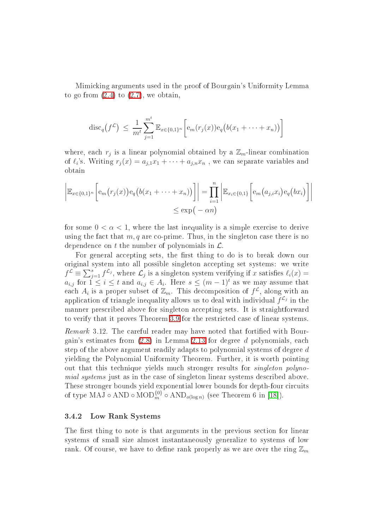Mimi
king arguments used in the proof of Bourgain's Uniformity Lemma to go from  $(2.4)$  to  $(2.7)$ , we obtain,

$$
\mathrm{disc}_q(f^{\mathcal{L}}) \ \leq \ \frac{1}{m^t} \sum_{j=1}^{m^t} \mathbb{E}_{x \in \{0,1\}^n} \bigg[ e_m(r_j(x)) e_q \big( b(x_1 + \dots + x_n) \big) \bigg]
$$

where, each  $r_j$  is a linear polynomial obtained by a  $\mathbb{Z}_m$ -linear combination of  $\ell_i$ 's. Writing  $r_j(x) = a_{j,1}x_1 + \cdots + a_{j,n}x_n$ , we can separate variables and obtain

$$
\left| \mathbb{E}_{x \in \{0,1\}^n} \left[ e_m(r_j(x)) e_q(b(x_1 + \dots + x_n)) \right] \right| = \prod_{i=1}^n \left| \mathbb{E}_{x_i \in \{0,1\}} \left[ e_m(a_{j,i}x_i) e_q(bx_i) \right] \right|
$$
  

$$
\leq \exp(-\alpha n)
$$

for some  $0 < \alpha < 1$ , where the last inequality is a simple exercise to derive using the fact that  $m, q$  are co-prime. Thus, in the singleton case there is no dependence on t the number of polynomials in  $\mathcal{L}$ .

For general accepting sets, the first thing to do is to break down our original system into all possible singleton accepting set systems: we write  $f^{\mathcal{L}} \equiv \sum_{j=1}^{s} f^{\mathcal{L}_j}$ , where  $\mathcal{L}_j$  is a singleton system verifying if x satisfies  $\ell_i(x) =$  $a_{i,j}$  for  $1 \leq i \leq t$  and  $a_{i,j} \in A_i$ . Here  $s \leq (m-1)^t$  as we may assume that each  $A_i$  is a proper subset of  $\mathbb{Z}_m$ . This decomposition of  $f^{\mathcal{L}}$ , along with an application of triangle inequality allows us to deal with individual  $f^{\mathcal{L}_j}$  in the manner prescribed above for singleton accepting sets. It is straightforward to verify that it proves Theorem [3.9](#page-16-1) for the restri
ted ase of linear systems.

<span id="page-18-0"></span>Remark 3.12. The careful reader may have noted that fortified with Bourgain's estimates from [\(2.8\)](#page-9-3) in Lemma [2.13](#page-9-2) for degree d polynomials, ea
h step of the above argument readily adapts to polynomial systems of degree d yielding the Polynomial Uniformity Theorem. Further, it is worth pointing out that this technique yields much stronger results for *singleton polyno*mial systems just as in the case of singleton linear systems described above. These stronger bounds yield exponential lower bounds for depth-four circuits of type MAJ ◦ AND ◦ MOD $_{m}^{\{0\}}$  ◦ AND<sub> $o(\log n)$ </sub> (see Theorem 6 in [18]).

#### 3.4.2 Low Rank Systems

The first thing to note is that arguments in the previous section for linear systems of small size almost instantaneously generalize to systems of low rank. Of course, we have to define rank properly as we are over the ring  $\mathbb{Z}_m$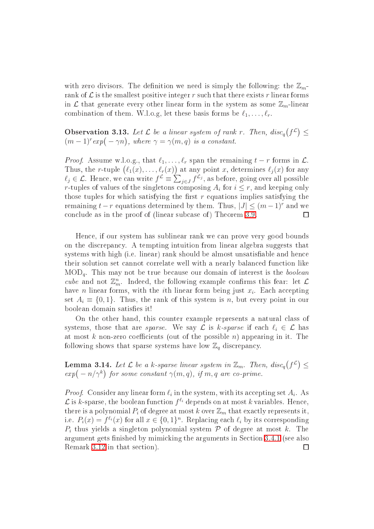with zero divisors. The definition we need is simply the following: the  $\mathbb{Z}_m$ rank of  $\mathcal L$  is the smallest positive integer r such that there exists r linear forms in  $\mathcal L$  that generate every other linear form in the system as some  $\mathbb Z_m$ -linear combination of them. W.l.o.g, let these basis forms be  $\ell_1, \ldots, \ell_r$ .

**Observation 3.13.** Let  $\mathcal L$  be a linear system of rank r. Then,  $disc_q(f^{\mathcal L}) \leq$  $(m-1)^{r} exp(-\gamma n)$ , where  $\gamma = \gamma(m,q)$  is a constant.

*Proof.* Assume w.l.o.g., that  $\ell_1, \ldots, \ell_r$  span the remaining  $t - r$  forms in  $\mathcal{L}$ . Thus, the r-tuple  $(\ell_1(x), \ldots, \ell_r(x))$  at any point x, determines  $\ell_j(x)$  for any  $\ell_j \in \mathcal{L}$ . Hence, we can write  $f^{\mathcal{L}} \equiv \sum_{j \in J} f^{\mathcal{L}_j}$ , as before, going over all possible r-tuples of values of the singletons composing  $A_i$  for  $i \leq r$ , and keeping only those tuples for which satisfying the first  $r$  equations implies satisfying the remaining  $t - r$  equations determined by them. Thus,  $|J| \leq (m-1)^r$  and we conclude as in the proof of (linear subcase of) Theorem [3.9.](#page-16-1)  $\Box$ 

Hen
e, if our system has sublinear rank we an prove very good bounds on the dis
repan
y. A tempting intuition from linear algebra suggests that systems with high (i.e. linear) rank should be almost unsatisfiable and hence their solution set cannot correlate well with a nearly balanced function like  $\text{MOD}_q$ . This may not be true because our domain of interest is the *boolean* cube and not  $\mathbb{Z}_m^n$ . Indeed, the following example confirms this fear: let  $\mathcal L$ have *n* linear forms, with the *i*th linear form being just  $x_i$ . Each accepting set  $A_i \equiv \{0, 1\}$ . Thus, the rank of this system is n, but every point in our boolean domain satisfies it!

On the other hand, this ounter example represents a natural lass of systems, those that are *sparse*. We say  $\mathcal L$  is k-sparse if each  $\ell_i \in \mathcal L$  has at most k non-zero coefficients (out of the possible  $n$ ) appearing in it. The following shows that sparse systems have low  $\mathbb{Z}_q$  discrepancy.

**Lemma 3.14.** Let  $\mathcal L$  be a k-sparse linear system in  $\mathbb Z_m$ . Then,  $disc_q(f^{\mathcal L}) \leq$  $exp(-n/\gamma^k)$  for some constant  $\gamma(m,q)$ , if m, q are co-prime.

*Proof.* Consider any linear form  $\ell_i$  in the system, with its accepting set  $A_i$ . As  ${\mathcal{L}}$  is  $k$ -sparse, the boolean function  $f^{\ell_i}$  depends on at most  $k$  variables. Hence, there is a polynomial  $P_i$  of degree at most k over  $\mathbb{Z}_m$  that exactly represents it, i.e.  $P_i(x) = f^{\ell_i}(x)$  for all  $x \in \{0,1\}^n$ . Replacing each  $\ell_i$  by its corresponding  $P_i$  thus yields a singleton polynomial system  $\mathcal P$  of degree at most k. The argument gets finished by mimicking the arguments in Section [3.4.1](#page-17-0) (see also Remark [3.12](#page-18-0) in that se
tion). $\Box$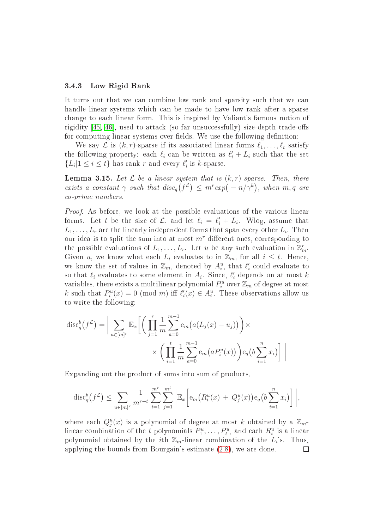#### 3.4.3 Low Rigid Rank

It turns out that we can combine low rank and sparsity such that we can handle linear systems which can be made to have low rank after a sparse hange to ea
h linear form. This is inspired by Valiant's famous notion of rigidity  $[45, 46]$  $[45, 46]$ , used to attack (so far unsuccessfully) size-depth trade-offs for computing linear systems over fields. We use the following definition:

We say  $\mathcal L$  is  $(k, r)$ -sparse if its associated linear forms  $\ell_1, \ldots, \ell_t$  satisfy the following property: each  $\ell_i$  can be written as  $\ell'_i + L_i$  such that the set  $\{L_i | 1 \leq i \leq t\}$  has rank r and every  $\ell'_i$  is k-sparse.

<span id="page-20-0"></span>**Lemma 3.15.** Let  $\mathcal{L}$  be a linear system that is  $(k, r)$ -sparse. Then, there exists a constant  $\gamma$  such that  $disc_q(f^{\mathcal{L}}) \leq m^r exp(-n/\gamma^k)$ , when  $m, q$  are o-prime numbers.

Proof. As before, we look at the possible evaluations of the various linear forms. Let t be the size of  $\mathcal{L}$ , and let  $\ell_i = \ell'_i + L_i$ . Wlog, assume that  $L_1,\ldots,L_r$  are the linearly independent forms that span every other  $L_i.$  Then our idea is to split the sum into at most  $m<sup>r</sup>$  different ones, corresponding to the possible evaluations of  $L_1, \ldots, L_r$ . Let u be any such evaluation in  $\mathbb{Z}_m^r$ . Given u, we know what each  $L_i$  evaluates to in  $\mathbb{Z}_m$ , for all  $i \leq t$ . Hence, we know the set of values in  $\mathbb{Z}_m$ , denoted by  $A_i^u$ , that  $\ell'_i$  could evaluate to so that  $\ell_i$  evaluates to some element in  $A_i$ . Since,  $\ell'_i$  depends on at most k variables, there exists a multilinear polynomial  $P_i^u$  over  $\mathbb{Z}_m$  of degree at most k such that  $P_i^u(x) = 0 \pmod{m}$  iff  $\ell'_i(x) \in A_i^u$ . These observations allow us to write the following:

$$
\operatorname{disc}_q^b(f^{\mathcal{L}}) = \Big| \sum_{u \in [m]^r} \mathbb{E}_x \Bigg[ \Bigg( \prod_{j=1}^r \frac{1}{m} \sum_{a=0}^{m-1} e_m \big( a(L_j(x) - u_j) \big) \Bigg) \times \\ \times \Bigg( \prod_{i=1}^t \frac{1}{m} \sum_{a=0}^{m-1} e_m \big( a P_i^u(x) \big) \Bigg) e_q \big( b \sum_{i=1}^n x_i \big) \Bigg] \Bigg|
$$

Expanding out the product of sums into sum of products,

$$
\mathrm{disc}_q^b(f^{\mathcal{L}}) \leq \sum_{u \in [m]^r} \frac{1}{m^{r+t}} \sum_{i=1}^{m^r} \sum_{j=1}^{m^t} \left| \mathbb{E}_x \left[ e_m \big( R_i^u(x) + Q_j^u(x) \big) e_q \big( b \sum_{i=1}^n x_i \big) \right] \right|,
$$

where each  $Q_j^u(x)$  is a polynomial of degree at most k obtained by a  $\mathbb{Z}_m$ linear combination of the t polynomials  $P_1^u, \ldots, P_t^u$ , and each  $R_i^u$  is a linear polynomial obtained by the *i*<sup>th</sup>  $\mathbb{Z}_m$ -linear combination of the  $L_i$ 's. Thus, applying the bounds from Bourgain's estimate [\(2.8\)](#page-9-3), we are done. $\Box$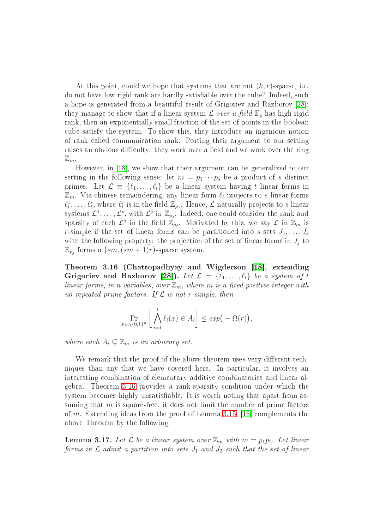At this point, could we hope that systems that are not  $(k, r)$ -sparse, i.e. do not have low rigid rank are hardly satisfiable over the cube? Indeed, such a hope is generated from a beautiful result of Grigoriev and Razborov [28]: they manage to show that if a linear system  $\mathcal L$  over a field  $\mathbb F_q$  has high rigid rank, then an exponentially small fraction of the set of points in the boolean ube satisfy the system. To show this, they introdu
e an ingenious notion of rank alled ommuni
ation rank. Porting their argument to our setting raises an obvious difficulty: they work over a field and we work over the ring  $\mathbb{Z}_m$  .

However, in [18], we show that their argument can be generalized to our setting in the following sense: let  $m = p_1 \cdots p_s$  be a product of s distinct primes. Let  $\mathcal{L} \equiv \{\ell_1, \ldots, \ell_t\}$  be a linear system having t linear forms in  $\mathbb{Z}_m$ . Via chinese remaindering, any linear form  $\ell_i$  projects to s linear forms  $\ell_i^1,\ldots,\ell_i^s,$  where  $\ell_i^j$  $\frac{j}{i}$  is in the field  $\mathbb{Z}_{p_j}.$  Hence,  $\mathcal L$  naturally projects to  $s$  linear systems  $\mathcal{L}^1, \ldots, \mathcal{L}^s,$  with  $\mathcal{L}^j$  in  $\mathbb{Z}_{p_j}.$  Indeed, one could consider the rank and sparsity of each  $\mathcal{L}^j$  in the field  $\mathbb{Z}_{p_j}$ . Motivated by this, we say  $\mathcal{L}$  in  $\mathbb{Z}_m$  is r-simple if the set of linear forms can be partitioned into s sets  $J_1, \ldots, J_s$ with the following property: the projection of the set of linear forms in  $J_j$  to  $\mathbb{Z}_{p_j}$  forms a  $\left(sm, (sm+1)r\right)$ -sparse system.

<span id="page-21-0"></span>Theorem 3.16 (Chattopadhyay and Wigderson [18], extending Grigoriev and Razborov [28]). Let  $\mathcal{L} = \{\ell_1, \ldots, \ell_t\}$  be a system of t linear forms, in n variables, over  $\mathbb{Z}_m$ , where m is a fixed positive integer with no repeated prime factors. If  $\mathcal L$  is not r-simple, then

$$
\Pr_{x \in_R \{0,1\}^n} \left[ \bigwedge_{i=1}^t \ell_i(x) \in A_i \right] \le \exp(-\Omega(r)),
$$

where each  $A_i \subsetneq \mathbb{Z}_m$  is an arbitrary set.

We remark that the proof of the above theorem uses very different techniques than any that we have covered here. In particular, it involves an interesting ombination of elementary additive ombinatori
s and linear algebra. Theorem [3.16](#page-21-0) provides a rank-sparsity ondition under whi
h the system be
omes highly unsatisable. It is worth noting that apart from assuming that  $m$  is square-free, it does not limit the number of prime factors of m. Extending ideas from the proof of Lemma [3.15,](#page-20-0) [18] complements the above Theorem by the following:

<span id="page-21-1"></span>**Lemma 3.17.** Let  $\mathcal{L}$  be a linear system over  $\mathbb{Z}_m$  with  $m = p_1p_2$ . Let linear forms in  $\mathcal L$  admit a partition into sets  $J_1$  and  $J_2$  such that the set of linear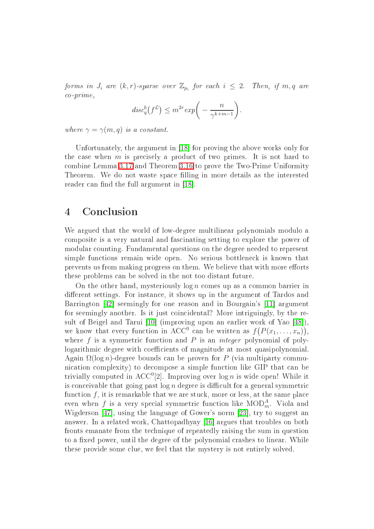forms in  $J_i$  are  $(k,r)$ -sparse over  $\mathbb{Z}_{p_i}$  for each  $i~\leq~2.$  Then, if  $m,q$  are o-prime,

$$
disc_q^b(f^{\mathcal{L}}) \le m^{2r} exp\bigg(-\frac{n}{\gamma^{k+m-1}}\bigg).
$$

where  $\gamma = \gamma(m, q)$  is a constant.

Unfortunately, the argument in [18] for proving the above works only for the case when  $m$  is precisely a product of two primes. It is not hard to ombine Lemma [3.17](#page-21-1) and Theorem [3.16](#page-21-0) to prove the Two-Prime Uniformity Theorem. We do not waste space filling in more details as the interested reader can find the full argument in [18].

# <sup>4</sup> Con
lusion

We argued that the world of low-degree multilinear polynomials modulo a omposite is a very natural and fas
inating setting to explore the power of modular ounting. Fundamental questions on the degree needed to represent simple functions remain wide open. No serious bottleneck is known that prevents us from making progress on them. We believe that with more efforts these problems an be solved in the not too distant future.

On the other hand, mysteriously  $\log n$  comes up as a common barrier in different settings. For instance, it shows up in the argument of Tardos and Barrington [42] seemingly for one reason and in Bourgain's [11] argument for seemingly another. Is it just coincidental? More intriguingly, by the result of Beigel and Tarui  $[10]$  (improving upon an earlier work of Yao  $[48]$ ). we know that every function in ACC<sup>0</sup> can be written as  $f(P(x_1, \ldots, x_n)),$ where f is a symmetric function and P is an *integer* polynomial of polylogarithmic degree with coefficients of magnitude at most quasipolynomial. Again  $\Omega(\log n)$ -degree bounds can be proven for P (via multiparty communication complexity) to decompose a simple function like GIP that can be trivially computed in ACC<sup>0</sup>[2]. Improving over  $\log n$  is wide open! While it is conceivable that going past  $\log n$  degree is difficult for a general symmetric function  $f$ , it is remarkable that we are stuck, more or less, at the same place even when  $f$  is a very special symmetric function like  $\mathrm{MOD}^A_m$ . Viola and Wigderson  $[47]$ , using the language of Gower's norm  $[23]$ , try to suggest an answer. In a related work, Chattopadhyay [16] argues that troubles on both fronts emanate from the te
hnique of repeatedly raising the sum in question to a fixed power, until the degree of the polynomial crashes to linear. While these provide some lue, we feel that the mystery is not entirely solved.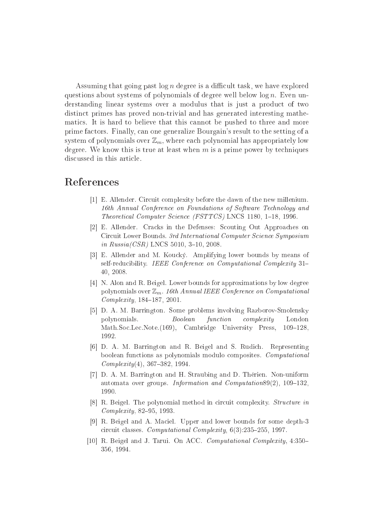Assuming that going past  $\log n$  degree is a difficult task, we have explored questions about systems of polynomials of degree well below  $\log n$ . Even understanding linear systems over a modulus that is just a product of two distin
t primes has proved non-trivial and has generated interesting mathematics. It is hard to believe that this cannot be pushed to three and more prime fa
tors. Finally, an one generalize Bourgain's result to the setting of a system of polynomials over  $\mathbb{Z}_m$ , where each polynomial has appropriately low degree. We know this is true at least when  $m$  is a prime power by techniques dis
ussed in this arti
le.

# <span id="page-23-1"></span><span id="page-23-0"></span>Referen
es

- [1] E. Allender. Circuit complexity before the dawn of the new millenium. 16th Annual Conference on Foundations of Software Technology and Theoretical Computer Science (FSTTCS) LNCS 1180, 1-18, 1996.
- [2] E. Allender. Cracks in the Defenses: Scouting Out Approaches on Circuit Lower Bounds. 3rd International Computer Science Symposium in  $Russia/CSR)$  LNCS 5010, 3-10, 2008.
- <span id="page-23-7"></span>[3] E. Allender and M. Koucký. Amplifying lower bounds by means of self-reducibility. IEEE Conference on Computational Complexity 31-40, 2008.
- <span id="page-23-6"></span> $[4]$  N. Alon and R. Beigel. Lower bounds for approximations by low degree polynomials over  $\mathbb{Z}_m$ . 16th Annual IEEE Conference on Computational  $Complexity, 184–187, 2001.$
- <span id="page-23-5"></span>[5] D. A. M. Barrington. Some problems involving Razborov-Smolensky polynomials. Boolean function complexity London Math.Soc.Lec.Note.(169), Cambridge University Press, 109-128, 1992.
- <span id="page-23-4"></span>[6] D. A. M. Barrington and R. Beigel and S. Rudich. Representing boolean fun
tions as polynomials modulo omposites. Computational  $Complexity(4), 367-382, 1994.$
- <span id="page-23-2"></span>[7] D. A. M. Barrington and H. Straubing and D. Thérien. Non-uniform automata over groups. Information and Computation89 $(2)$ , 109-132, 1990.
- <span id="page-23-3"></span>[8] R. Beigel. The polynomial method in circuit complexity. *Structure in*  $Complexity$ , 82-95, 1993.
- [9] R. Beigel and A. Maciel. Upper and lower bounds for some depth-3 circuit classes. Computational Complexity,  $6(3)$ :235-255, 1997.
- <span id="page-23-8"></span>[10] R. Beigel and J. Tarui. On ACC. *Computational Complexity*,  $4:350-$ 356, 1994.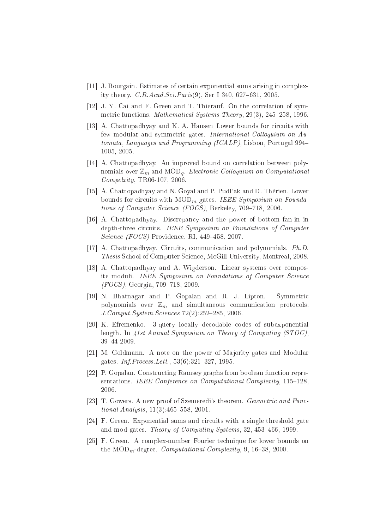- <span id="page-24-7"></span><span id="page-24-5"></span>[11] J. Bourgain. Estimates of certain exponential sums arising in complexity theory. C.R.Acad.Sci.Paris $(9)$ , Ser I 340, 627–631, 2005.
- <span id="page-24-4"></span>[12] J. Y. Cai and F. Green and T. Thierauf. On the correlation of symmetric functions. Mathematical Systems Theory, 29(3), 245-258, 1996.
- [13] A. Chattopadhyay and K. A. Hansen Lower bounds for circuits with few modular and symmetric gates. *International Colloquium on Au*tomata, Languages and Programming (ICALP), Lisbon, Portugal 994 1005, 2005.
- <span id="page-24-11"></span>[14] A. Chattopadhyay. An improved bound on correlation between polynomials over  $\mathbb{Z}_m$  and  $\mathrm{MOD}_q$ . Electronic Colloquium on Computational Compelxity, TR06-107, 2006.
- <span id="page-24-9"></span>[15] A. Chattopadhyay and N. Goyal and P. Pudl'ak and D. Thérien. Lower bounds for circuits with  $\text{MOD}_m$  gates. IEEE Symposium on Foundations of Computer Science (FOCS), Berkeley, 709-718, 2006.
- <span id="page-24-12"></span>[16] A. Chattopadhyay. Discrepancy and the power of bottom fan-in in depth-three circuits. IEEE Symposium on Foundations of Computer Science (FOCS) Providence, RI, 449-458, 2007.
- <span id="page-24-10"></span><span id="page-24-0"></span>[17] A. Chattopadhyay. Circuits, communication and polynomials.  $Ph.D$ . Thesis S
hool of Computer S
ien
e, M
Gill University, Montreal, 2008.
- [18] A. Chattopadhyay and A. Wigderson. Linear systems over composite moduli. IEEE Symposium on Foundations of Computer Science  $(FOCS)$ , Georgia, 709-718, 2009.
- <span id="page-24-3"></span>[19] N. Bhatnagar and P. Gopalan and R. J. Lipton. Symmetric polynomials over  $\mathbb{Z}_m$  and simultaneous communication protocols. J. Comput. System. Sciences 72(2):252–285, 2006.
- <span id="page-24-2"></span>[20] K. Efremenko. 3-query locally decodable codes of subexponential length. In 41st Annual Symposium on Theory of Computing (STOC), 3944 2009.
- <span id="page-24-6"></span><span id="page-24-1"></span>[21] M. Goldmann. A note on the power of Majority gates and Modular gates. *Inf.Process.Lett.*, 53(6):321-327, 1995.
- [22] P. Gopalan. Constructing Ramsey graphs from boolean function representations. IEEE Conference on Computational Complexity, 115-128, 2006
- <span id="page-24-13"></span><span id="page-24-8"></span>[23] T. Gowers. A new proof of Szemeredi's theorem. Geometric and Functional Analysis,  $11(3):465-558$ ,  $2001$ .
- [24] F. Green. Exponential sums and circuits with a single threshold gate and mod-gates. Theory of Computing Systems, 32, 453-466, 1999.
- [25] F. Green. A complex-number Fourier technique for lower bounds on the  $MOD_m$ -degree. Computational Complexity, 9, 16-38, 2000.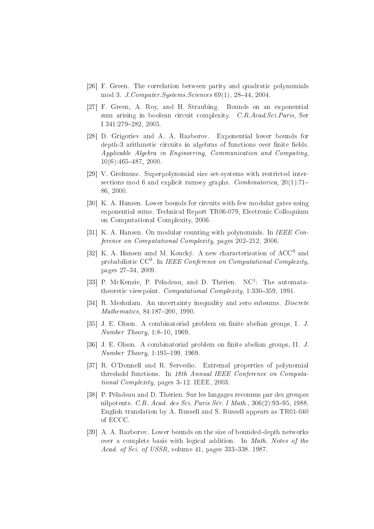- <span id="page-25-9"></span><span id="page-25-7"></span>[26] F. Green. The correlation between parity and quadratic polynomials mod 3. *J. Computer. Systems. Sciences* 69(1), 28–44, 2004.
- [27] F. Green, A. Roy, and H. Straubing. Bounds on an exponential sum arising in boolean circuit complexity. C.R.Acad.Sci.Paris, Ser I 341:279-282, 2005.
- <span id="page-25-13"></span>[28] D. Grigoriev and A. A. Razborov. Exponential lower bounds for depth-3 arithmetic circuits in algebras of functions over finite fields. Applicable Algebra in Engineering, Communication and Computing,  $10(6):465-487, 2000.$
- <span id="page-25-4"></span>[29] V. Grolmusz. Superpolynomial size set-systems with restricted intersections mod 6 and explicit ramsey graphs. Combinatorica,  $20(1)$ :71-86, 2000.
- <span id="page-25-8"></span>[30] K. A. Hansen. Lower bounds for circuits with few modular gates using exponential sums. Technical Report TR06-079, Electronic Colloquium on Computational Complexity, 2006.
- <span id="page-25-6"></span><span id="page-25-1"></span>[31] K. A. Hansen. On modular counting with polynomials. In IEEE Conference on Computational Complexity, pages 202-212, 2006.
- [32] K. A. Hansen amd M. Koucký. A new characterization of  $ACC^{0}$  and probabilistic  $CC^0$ . In IEEE Conference on Computational Complexity, pages 27-34, 2009.
- <span id="page-25-2"></span>[33] P. McKenzie, P. Péladeau, and D. Thérien.  $NC^1$ : The automatatheoretic viewpoint. Computational Complexity, 1:330-359, 1991.
- <span id="page-25-12"></span><span id="page-25-10"></span>[34] R. Meshulam. An uncertainty inequality and zero subsums. *Discrete* Mathematics, 84:187-200, 1990.
- <span id="page-25-11"></span>[35] J. E. Olson. A combinatorial problem on finite abelian groups, I. J. Number Theory,  $1:8-10$ , 1969.
- <span id="page-25-3"></span>[36] J. E. Olson. A combinatorial problem on finite abelian groups, II. J.  $Number Theory, 1:195-199, 1969.$
- [37] R. O'Donnell and R. Servedio. Extremal properties of polynomial threshold functions. In 18th Annual IEEE Conference on Computational Complexity, pages 3–12. IEEE, 2003.
- <span id="page-25-5"></span>[38] P. Péladeau and D. Thérien. Sur les langages reconnus par des groupes nilpotents. C.R. Acad. des Sci. Paris Sér. I Math.,  $306(2):93-95$ , 1988. English translation by A. Russell and S. Russell appears as TR01-040 of ECCC.
- <span id="page-25-0"></span>[39] A. A. Razborov. Lower bounds on the size of bounded-depth networks over a complete basis with logical addition. In *Math. Notes of the* Acad. of Sci. of USSR, volume 41, pages 333-338. 1987.